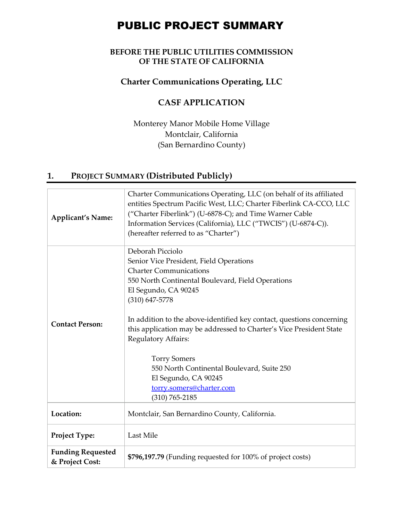# PUBLIC PROJECT SUMMARY

#### **BEFORE THE PUBLIC UTILITIES COMMISSION OF THE STATE OF CALIFORNIA**

#### **Charter Communications Operating, LLC**

### **CASF APPLICATION**

Monterey Manor Mobile Home Village Montclair, California (San Bernardino County)

## **1. PROJECT SUMMARY (Distributed Publicly)**

| <b>Applicant's Name:</b>                    | Charter Communications Operating, LLC (on behalf of its affiliated<br>entities Spectrum Pacific West, LLC; Charter Fiberlink CA-CCO, LLC<br>("Charter Fiberlink") (U-6878-C); and Time Warner Cable<br>Information Services (California), LLC ("TWCIS") (U-6874-C)).<br>(hereafter referred to as "Charter")                                                                                                                                                                                                        |
|---------------------------------------------|---------------------------------------------------------------------------------------------------------------------------------------------------------------------------------------------------------------------------------------------------------------------------------------------------------------------------------------------------------------------------------------------------------------------------------------------------------------------------------------------------------------------|
| <b>Contact Person:</b>                      | Deborah Picciolo<br>Senior Vice President, Field Operations<br><b>Charter Communications</b><br>550 North Continental Boulevard, Field Operations<br>El Segundo, CA 90245<br>$(310)$ 647-5778<br>In addition to the above-identified key contact, questions concerning<br>this application may be addressed to Charter's Vice President State<br>Regulatory Affairs:<br><b>Torry Somers</b><br>550 North Continental Boulevard, Suite 250<br>El Segundo, CA 90245<br>torry.somers@charter.com<br>$(310) 765 - 2185$ |
| Location:                                   | Montclair, San Bernardino County, California.                                                                                                                                                                                                                                                                                                                                                                                                                                                                       |
| Project Type:                               | Last Mile                                                                                                                                                                                                                                                                                                                                                                                                                                                                                                           |
| <b>Funding Requested</b><br>& Project Cost: | \$796,197.79 (Funding requested for 100% of project costs)                                                                                                                                                                                                                                                                                                                                                                                                                                                          |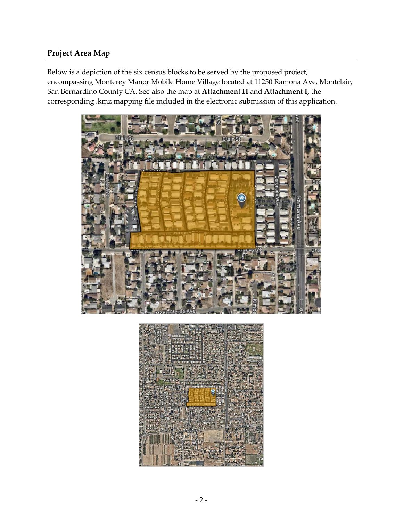#### **Project Area Map**

Below is a depiction of the six census blocks to be served by the proposed project, encompassing Monterey Manor Mobile Home Village located at 11250 Ramona Ave, Montclair, San Bernardino County CA. See also the map at **Attachment H** and **Attachment I**, the corresponding .kmz mapping file included in the electronic submission of this application.



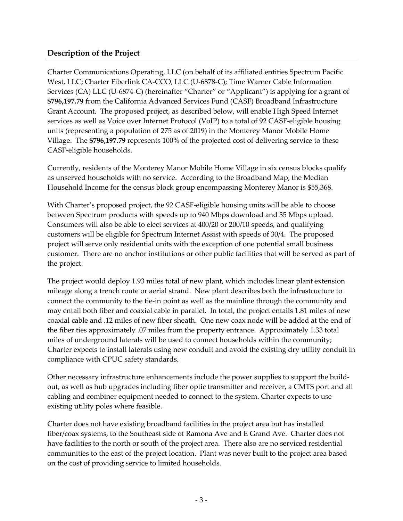#### **Description of the Project**

Charter Communications Operating, LLC (on behalf of its affiliated entities Spectrum Pacific West, LLC; Charter Fiberlink CA-CCO, LLC (U-6878-C); Time Warner Cable Information Services (CA) LLC (U-6874-C) (hereinafter "Charter" or "Applicant") is applying for a grant of **\$796,197.79** from the California Advanced Services Fund (CASF) Broadband Infrastructure Grant Account. The proposed project, as described below, will enable High Speed Internet services as well as Voice over Internet Protocol (VoIP) to a total of 92 CASF-eligible housing units (representing a population of 275 as of 2019) in the Monterey Manor Mobile Home Village. The **\$796,197.79** represents 100% of the projected cost of delivering service to these CASF-eligible households.

Currently, residents of the Monterey Manor Mobile Home Village in six census blocks qualify as unserved households with no service. According to the Broadband Map, the Median Household Income for the census block group encompassing Monterey Manor is \$55,368.

With Charter's proposed project, the 92 CASF-eligible housing units will be able to choose between Spectrum products with speeds up to 940 Mbps download and 35 Mbps upload. Consumers will also be able to elect services at 400/20 or 200/10 speeds, and qualifying customers will be eligible for Spectrum Internet Assist with speeds of 30/4. The proposed project will serve only residential units with the exception of one potential small business customer. There are no anchor institutions or other public facilities that will be served as part of the project.

The project would deploy 1.93 miles total of new plant, which includes linear plant extension mileage along a trench route or aerial strand. New plant describes both the infrastructure to connect the community to the tie-in point as well as the mainline through the community and may entail both fiber and coaxial cable in parallel. In total, the project entails 1.81 miles of new coaxial cable and .12 miles of new fiber sheath. One new coax node will be added at the end of the fiber ties approximately .07 miles from the property entrance. Approximately 1.33 total miles of underground laterals will be used to connect households within the community; Charter expects to install laterals using new conduit and avoid the existing dry utility conduit in compliance with CPUC safety standards.

Other necessary infrastructure enhancements include the power supplies to support the buildout, as well as hub upgrades including fiber optic transmitter and receiver, a CMTS port and all cabling and combiner equipment needed to connect to the system. Charter expects to use existing utility poles where feasible.

Charter does not have existing broadband facilities in the project area but has installed fiber/coax systems, to the Southeast side of Ramona Ave and E Grand Ave. Charter does not have facilities to the north or south of the project area. There also are no serviced residential communities to the east of the project location. Plant was never built to the project area based on the cost of providing service to limited households.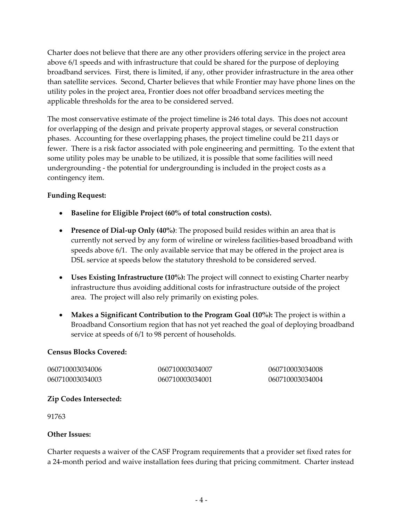Charter does not believe that there are any other providers offering service in the project area above 6/1 speeds and with infrastructure that could be shared for the purpose of deploying broadband services. First, there is limited, if any, other provider infrastructure in the area other than satellite services. Second, Charter believes that while Frontier may have phone lines on the utility poles in the project area, Frontier does not offer broadband services meeting the applicable thresholds for the area to be considered served.

The most conservative estimate of the project timeline is 246 total days. This does not account for overlapping of the design and private property approval stages, or several construction phases. Accounting for these overlapping phases, the project timeline could be 211 days or fewer. There is a risk factor associated with pole engineering and permitting. To the extent that some utility poles may be unable to be utilized, it is possible that some facilities will need undergrounding - the potential for undergrounding is included in the project costs as a contingency item.

#### **Funding Request:**

- **Baseline for Eligible Project (60% of total construction costs).**
- **Presence of Dial-up Only (40%)**: The proposed build resides within an area that is currently not served by any form of wireline or wireless facilities-based broadband with speeds above 6/1. The only available service that may be offered in the project area is DSL service at speeds below the statutory threshold to be considered served.
- **Uses Existing Infrastructure (10%):** The project will connect to existing Charter nearby infrastructure thus avoiding additional costs for infrastructure outside of the project area. The project will also rely primarily on existing poles.
- **Makes a Significant Contribution to the Program Goal (10%):** The project is within a Broadband Consortium region that has not yet reached the goal of deploying broadband service at speeds of 6/1 to 98 percent of households.

#### **Census Blocks Covered:**

060710003034006 060710003034003 060710003034007 060710003034001

060710003034008 060710003034004

#### **Zip Codes Intersected:**

91763

#### **Other Issues:**

Charter requests a waiver of the CASF Program requirements that a provider set fixed rates for a 24-month period and waive installation fees during that pricing commitment. Charter instead